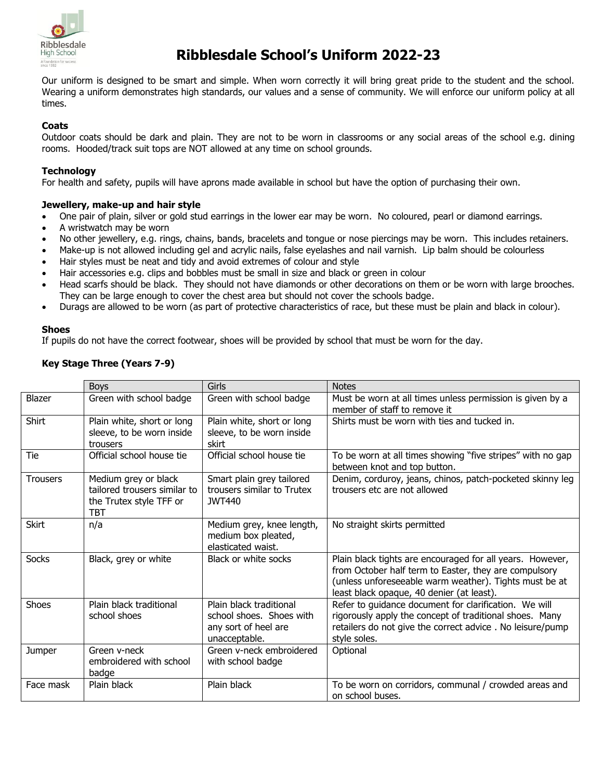

# **Ribblesdale School's Uniform 2022-23**

Our uniform is designed to be smart and simple. When worn correctly it will bring great pride to the student and the school. Wearing a uniform demonstrates high standards, our values and a sense of community. We will enforce our uniform policy at all times.

#### **Coats**

Outdoor coats should be dark and plain. They are not to be worn in classrooms or any social areas of the school e.g. dining rooms. Hooded/track suit tops are NOT allowed at any time on school grounds.

#### **Technology**

For health and safety, pupils will have aprons made available in school but have the option of purchasing their own.

#### **Jewellery, make-up and hair style**

- One pair of plain, silver or gold stud earrings in the lower ear may be worn. No coloured, pearl or diamond earrings.
- A wristwatch may be worn
- No other jewellery, e.g. rings, chains, bands, bracelets and tongue or nose piercings may be worn. This includes retainers.
- Make-up is not allowed including gel and acrylic nails, false eyelashes and nail varnish. Lip balm should be colourless
- Hair styles must be neat and tidy and avoid extremes of colour and style
- Hair accessories e.g. clips and bobbles must be small in size and black or green in colour
- Head scarfs should be black. They should not have diamonds or other decorations on them or be worn with large brooches. They can be large enough to cover the chest area but should not cover the schools badge.
- Durags are allowed to be worn (as part of protective characteristics of race, but these must be plain and black in colour).

#### **Shoes**

If pupils do not have the correct footwear, shoes will be provided by school that must be worn for the day.

### **Key Stage Three (Years 7-9)**

|                 | <b>Boys</b>                                                                            | Girls                                                                                        | <b>Notes</b>                                                                                                                                                                                                              |
|-----------------|----------------------------------------------------------------------------------------|----------------------------------------------------------------------------------------------|---------------------------------------------------------------------------------------------------------------------------------------------------------------------------------------------------------------------------|
| Blazer          | Green with school badge                                                                | Green with school badge                                                                      | Must be worn at all times unless permission is given by a<br>member of staff to remove it                                                                                                                                 |
| Shirt           | Plain white, short or long<br>sleeve, to be worn inside<br>trousers                    | Plain white, short or long<br>sleeve, to be worn inside<br>skirt                             | Shirts must be worn with ties and tucked in.                                                                                                                                                                              |
| Tie             | Official school house tie                                                              | Official school house tie                                                                    | To be worn at all times showing "five stripes" with no gap<br>between knot and top button.                                                                                                                                |
| <b>Trousers</b> | Medium grey or black<br>tailored trousers similar to<br>the Trutex style TFF or<br>твт | Smart plain grey tailored<br>trousers similar to Trutex<br><b>JWT440</b>                     | Denim, corduroy, jeans, chinos, patch-pocketed skinny leg<br>trousers etc are not allowed                                                                                                                                 |
| Skirt           | n/a                                                                                    | Medium grey, knee length,<br>medium box pleated,<br>elasticated waist.                       | No straight skirts permitted                                                                                                                                                                                              |
| <b>Socks</b>    | Black, grey or white                                                                   | Black or white socks                                                                         | Plain black tights are encouraged for all years. However,<br>from October half term to Easter, they are compulsory<br>(unless unforeseeable warm weather). Tights must be at<br>least black opaque, 40 denier (at least). |
| <b>Shoes</b>    | Plain black traditional<br>school shoes                                                | Plain black traditional<br>school shoes. Shoes with<br>any sort of heel are<br>unacceptable. | Refer to guidance document for clarification. We will<br>rigorously apply the concept of traditional shoes. Many<br>retailers do not give the correct advice. No leisure/pump<br>style soles.                             |
| Jumper          | Green v-neck<br>embroidered with school<br>badge                                       | Green v-neck embroidered<br>with school badge                                                | Optional                                                                                                                                                                                                                  |
| Face mask       | Plain black                                                                            | Plain black                                                                                  | To be worn on corridors, communal / crowded areas and<br>on school buses.                                                                                                                                                 |